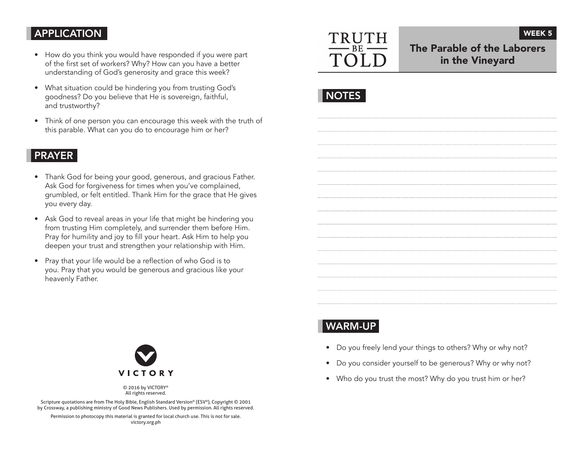## APPLICATION

- How do you think you would have responded if you were part of the first set of workers? Why? How can you have a better understanding of God's generosity and grace this week?
- What situation could be hindering you from trusting God's goodness? Do you believe that He is sovereign, faithful, and trustworthy?
- Think of one person you can encourage this week with the truth of this parable. What can you do to encourage him or her?

### PRAYER

- Thank God for being your good, generous, and gracious Father. Ask God for forgiveness for times when you've complained, grumbled, or felt entitled. Thank Him for the grace that He gives you every day.
- Ask God to reveal areas in your life that might be hindering you from trusting Him completely, and surrender them before Him. Pray for humility and joy to fill your heart. Ask Him to help you deepen your trust and strengthen your relationship with Him.
- Pray that your life would be a reflection of who God is to you. Pray that you would be generous and gracious like your heavenly Father.



# The Parable of the Laborers in the Vineyard

WEEK 5



# WARM-UP

- Do you freely lend your things to others? Why or why not?
- Do you consider yourself to be generous? Why or why not?
- Who do you trust the most? Why do you trust him or her?



© 2016 by VICTORY® All rights reserved.

Scripture quotations are from The Holy Bible, English Standard Version® (ESV®), Copyright © 2001 by Crossway, a publishing ministry of Good News Publishers. Used by permission. All rights reserved.

Permission to photocopy this material is granted for local church use. This is not for sale. victory.org.ph